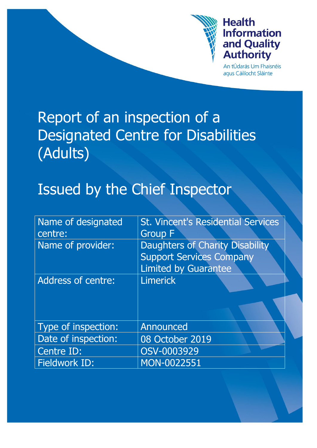

# **Health Information** and Quality **Authority**

An tÚdarás Um Fhaisnéis aqus Cáilíocht Sláinte

# Report of an inspection of a Designated Centre for Disabilities (Adults)

# Issued by the Chief Inspector

| Name of designated<br>centre: | <b>St. Vincent's Residential Services</b><br><b>Group F</b>                                              |
|-------------------------------|----------------------------------------------------------------------------------------------------------|
| Name of provider:             | <b>Daughters of Charity Disability</b><br><b>Support Services Company</b><br><b>Limited by Guarantee</b> |
| <b>Address of centre:</b>     | <b>Limerick</b>                                                                                          |
|                               |                                                                                                          |
| Type of inspection:           | Announced                                                                                                |
| Date of inspection:           | 08 October 2019                                                                                          |
| Centre ID:                    | OSV-0003929                                                                                              |
| Fieldwork ID:                 | MON-0022551                                                                                              |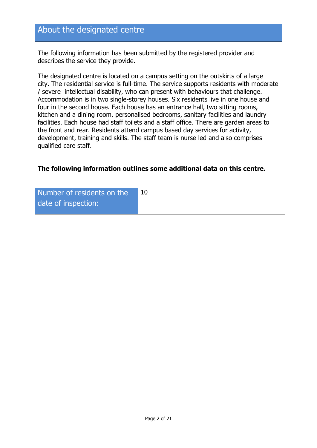# About the designated centre

The following information has been submitted by the registered provider and describes the service they provide.

The designated centre is located on a campus setting on the outskirts of a large city. The residential service is full-time. The service supports residents with moderate / severe intellectual disability, who can present with behaviours that challenge. Accommodation is in two single-storey houses. Six residents live in one house and four in the second house. Each house has an entrance hall, two sitting rooms, kitchen and a dining room, personalised bedrooms, sanitary facilities and laundry facilities. Each house had staff toilets and a staff office. There are garden areas to the front and rear. Residents attend campus based day services for activity, development, training and skills. The staff team is nurse led and also comprises qualified care staff.

#### **The following information outlines some additional data on this centre.**

| Number of residents on the |  |
|----------------------------|--|
| date of inspection:        |  |
|                            |  |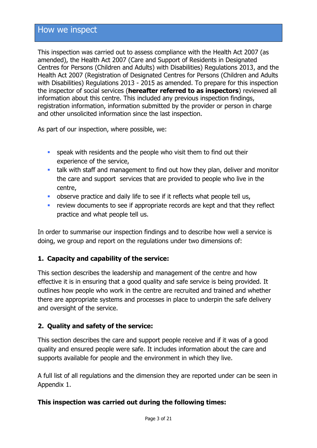This inspection was carried out to assess compliance with the Health Act 2007 (as amended), the Health Act 2007 (Care and Support of Residents in Designated Centres for Persons (Children and Adults) with Disabilities) Regulations 2013, and the Health Act 2007 (Registration of Designated Centres for Persons (Children and Adults with Disabilities) Regulations 2013 - 2015 as amended. To prepare for this inspection the inspector of social services (**hereafter referred to as inspectors**) reviewed all information about this centre. This included any previous inspection findings, registration information, information submitted by the provider or person in charge and other unsolicited information since the last inspection.

As part of our inspection, where possible, we:

- speak with residents and the people who visit them to find out their experience of the service,
- talk with staff and management to find out how they plan, deliver and monitor the care and support services that are provided to people who live in the centre,
- observe practice and daily life to see if it reflects what people tell us,
- **F** review documents to see if appropriate records are kept and that they reflect practice and what people tell us.

In order to summarise our inspection findings and to describe how well a service is doing, we group and report on the regulations under two dimensions of:

#### **1. Capacity and capability of the service:**

This section describes the leadership and management of the centre and how effective it is in ensuring that a good quality and safe service is being provided. It outlines how people who work in the centre are recruited and trained and whether there are appropriate systems and processes in place to underpin the safe delivery and oversight of the service.

#### **2. Quality and safety of the service:**

This section describes the care and support people receive and if it was of a good quality and ensured people were safe. It includes information about the care and supports available for people and the environment in which they live.

A full list of all regulations and the dimension they are reported under can be seen in Appendix 1.

#### **This inspection was carried out during the following times:**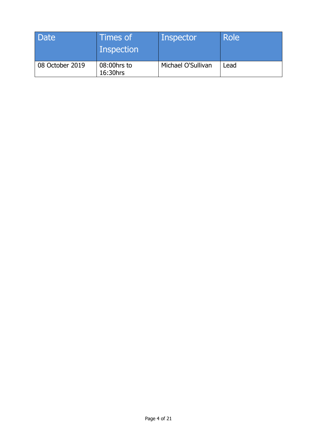| Date            | Times of<br>Inspection  | Inspector          | Role |
|-----------------|-------------------------|--------------------|------|
| 08 October 2019 | 08:00hrs to<br>16:30hrs | Michael O'Sullivan | Lead |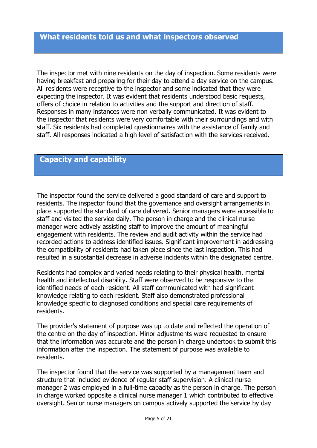The inspector met with nine residents on the day of inspection. Some residents were having breakfast and preparing for their day to attend a day service on the campus. All residents were receptive to the inspector and some indicated that they were expecting the inspector. It was evident that residents understood basic requests, offers of choice in relation to activities and the support and direction of staff. Responses in many instances were non verbally communicated. It was evident to the inspector that residents were very comfortable with their surroundings and with staff. Six residents had completed questionnaires with the assistance of family and staff. All responses indicated a high level of satisfaction with the services received.

#### **Capacity and capability**

The inspector found the service delivered a good standard of care and support to residents. The inspector found that the governance and oversight arrangements in place supported the standard of care delivered. Senior managers were accessible to staff and visited the service daily. The person in charge and the clinical nurse manager were actively assisting staff to improve the amount of meaningful engagement with residents. The review and audit activity within the service had recorded actions to address identified issues. Significant improvement in addressing the compatibility of residents had taken place since the last inspection. This had resulted in a substantial decrease in adverse incidents within the designated centre.

Residents had complex and varied needs relating to their physical health, mental health and intellectual disability. Staff were observed to be responsive to the identified needs of each resident. All staff communicated with had significant knowledge relating to each resident. Staff also demonstrated professional knowledge specific to diagnosed conditions and special care requirements of residents.

The provider's statement of purpose was up to date and reflected the operation of the centre on the day of inspection. Minor adjustments were requested to ensure that the information was accurate and the person in charge undertook to submit this information after the inspection. The statement of purpose was available to residents.

The inspector found that the service was supported by a management team and structure that included evidence of regular staff supervision. A clinical nurse manager 2 was employed in a full-time capacity as the person in charge. The person in charge worked opposite a clinical nurse manager 1 which contributed to effective oversight. Senior nurse managers on campus actively supported the service by day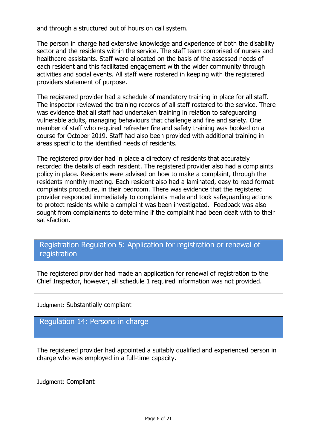and through a structured out of hours on call system.

The person in charge had extensive knowledge and experience of both the disability sector and the residents within the service. The staff team comprised of nurses and healthcare assistants. Staff were allocated on the basis of the assessed needs of each resident and this facilitated engagement with the wider community through activities and social events. All staff were rostered in keeping with the registered providers statement of purpose.

The registered provider had a schedule of mandatory training in place for all staff. The inspector reviewed the training records of all staff rostered to the service. There was evidence that all staff had undertaken training in relation to safeguarding vulnerable adults, managing behaviours that challenge and fire and safety. One member of staff who required refresher fire and safety training was booked on a course for October 2019. Staff had also been provided with additional training in areas specific to the identified needs of residents.

The registered provider had in place a directory of residents that accurately recorded the details of each resident. The registered provider also had a complaints policy in place. Residents were advised on how to make a complaint, through the residents monthly meeting. Each resident also had a laminated, easy to read format complaints procedure, in their bedroom. There was evidence that the registered provider responded immediately to complaints made and took safeguarding actions to protect residents while a complaint was been investigated. Feedback was also sought from complainants to determine if the complaint had been dealt with to their satisfaction.

### Registration Regulation 5: Application for registration or renewal of registration

The registered provider had made an application for renewal of registration to the Chief Inspector, however, all schedule 1 required information was not provided.

Judgment: Substantially compliant

Regulation 14: Persons in charge

The registered provider had appointed a suitably qualified and experienced person in charge who was employed in a full-time capacity.

Judgment: Compliant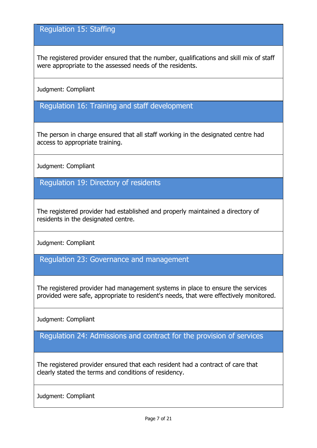# Regulation 15: Staffing

The registered provider ensured that the number, qualifications and skill mix of staff were appropriate to the assessed needs of the residents.

Judgment: Compliant

Regulation 16: Training and staff development

The person in charge ensured that all staff working in the designated centre had access to appropriate training.

Judgment: Compliant

Regulation 19: Directory of residents

The registered provider had established and properly maintained a directory of residents in the designated centre.

Judgment: Compliant

Regulation 23: Governance and management

The registered provider had management systems in place to ensure the services provided were safe, appropriate to resident's needs, that were effectively monitored.

Judgment: Compliant

Regulation 24: Admissions and contract for the provision of services

The registered provider ensured that each resident had a contract of care that clearly stated the terms and conditions of residency.

Judgment: Compliant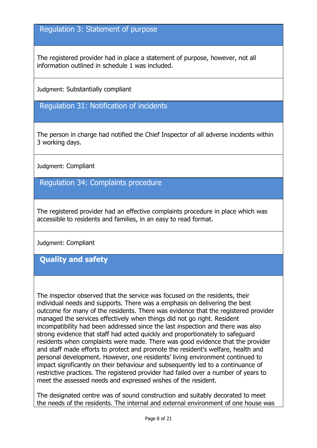#### Regulation 3: Statement of purpose

The registered provider had in place a statement of purpose, however, not all information outlined in schedule 1 was included.

Judgment: Substantially compliant

Regulation 31: Notification of incidents

The person in charge had notified the Chief Inspector of all adverse incidents within 3 working days.

Judgment: Compliant

Regulation 34: Complaints procedure

The registered provider had an effective complaints procedure in place which was accessible to residents and families, in an easy to read format.

Judgment: Compliant

**Quality and safety**

The inspector observed that the service was focused on the residents, their individual needs and supports. There was a emphasis on delivering the best outcome for many of the residents. There was evidence that the registered provider managed the services effectively when things did not go right. Resident incompatibility had been addressed since the last inspection and there was also strong evidence that staff had acted quickly and proportionately to safeguard residents when complaints were made. There was good evidence that the provider and staff made efforts to protect and promote the resident's welfare, health and personal development. However, one residents' living environment continued to impact significantly on their behaviour and subsequently led to a continuance of restrictive practices. The registered provider had failed over a number of years to meet the assessed needs and expressed wishes of the resident.

The designated centre was of sound construction and suitably decorated to meet the needs of the residents. The internal and external environment of one house was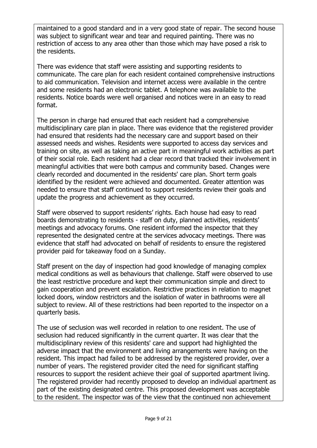maintained to a good standard and in a very good state of repair. The second house was subject to significant wear and tear and required painting. There was no restriction of access to any area other than those which may have posed a risk to the residents.

There was evidence that staff were assisting and supporting residents to communicate. The care plan for each resident contained comprehensive instructions to aid communication. Television and internet access were available in the centre and some residents had an electronic tablet. A telephone was available to the residents. Notice boards were well organised and notices were in an easy to read format.

The person in charge had ensured that each resident had a comprehensive multidisciplinary care plan in place. There was evidence that the registered provider had ensured that residents had the necessary care and support based on their assessed needs and wishes. Residents were supported to access day services and training on site, as well as taking an active part in meaningful work activities as part of their social role. Each resident had a clear record that tracked their involvement in meaningful activities that were both campus and community based. Changes were clearly recorded and documented in the residents' care plan. Short term goals identified by the resident were achieved and documented. Greater attention was needed to ensure that staff continued to support residents review their goals and update the progress and achievement as they occurred.

Staff were observed to support residents' rights. Each house had easy to read boards demonstrating to residents - staff on duty, planned activities, residents' meetings and advocacy forums. One resident informed the inspector that they represented the designated centre at the services advocacy meetings. There was evidence that staff had advocated on behalf of residents to ensure the registered provider paid for takeaway food on a Sunday.

Staff present on the day of inspection had good knowledge of managing complex medical conditions as well as behaviours that challenge. Staff were observed to use the least restrictive procedure and kept their communication simple and direct to gain cooperation and prevent escalation. Restrictive practices in relation to magnet locked doors, window restrictors and the isolation of water in bathrooms were all subject to review. All of these restrictions had been reported to the inspector on a quarterly basis.

The use of seclusion was well recorded in relation to one resident. The use of seclusion had reduced significantly in the current quarter. It was clear that the multidisciplinary review of this residents' care and support had highlighted the adverse impact that the environment and living arrangements were having on the resident. This impact had failed to be addressed by the registered provider, over a number of years. The registered provider cited the need for significant staffing resources to support the resident achieve their goal of supported apartment living. The registered provider had recently proposed to develop an individual apartment as part of the existing designated centre. This proposed development was acceptable to the resident. The inspector was of the view that the continued non achievement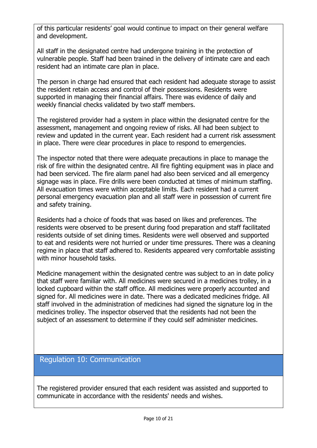of this particular residents' goal would continue to impact on their general welfare and development.

All staff in the designated centre had undergone training in the protection of vulnerable people. Staff had been trained in the delivery of intimate care and each resident had an intimate care plan in place.

The person in charge had ensured that each resident had adequate storage to assist the resident retain access and control of their possessions. Residents were supported in managing their financial affairs. There was evidence of daily and weekly financial checks validated by two staff members.

The registered provider had a system in place within the designated centre for the assessment, management and ongoing review of risks. All had been subject to review and updated in the current year. Each resident had a current risk assessment in place. There were clear procedures in place to respond to emergencies.

The inspector noted that there were adequate precautions in place to manage the risk of fire within the designated centre. All fire fighting equipment was in place and had been serviced. The fire alarm panel had also been serviced and all emergency signage was in place. Fire drills were been conducted at times of minimum staffing. All evacuation times were within acceptable limits. Each resident had a current personal emergency evacuation plan and all staff were in possession of current fire and safety training.

Residents had a choice of foods that was based on likes and preferences. The residents were observed to be present during food preparation and staff facilitated residents outside of set dining times. Residents were well observed and supported to eat and residents were not hurried or under time pressures. There was a cleaning regime in place that staff adhered to. Residents appeared very comfortable assisting with minor household tasks.

Medicine management within the designated centre was subject to an in date policy that staff were familiar with. All medicines were secured in a medicines trolley, in a locked cupboard within the staff office. All medicines were properly accounted and signed for. All medicines were in date. There was a dedicated medicines fridge. All staff involved in the administration of medicines had signed the signature log in the medicines trolley. The inspector observed that the residents had not been the subject of an assessment to determine if they could self administer medicines.

#### Regulation 10: Communication

The registered provider ensured that each resident was assisted and supported to communicate in accordance with the residents' needs and wishes.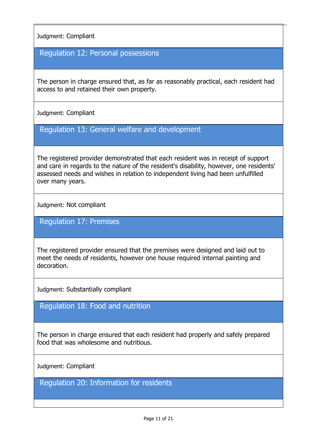Judgment: Compliant

Regulation 12: Personal possessions

The person in charge ensured that, as far as reasonably practical, each resident had access to and retained their own property.

Judgment: Compliant

Regulation 13: General welfare and development

The registered provider demonstrated that each resident was in receipt of support and care in regards to the nature of the resident's disability, however, one residents' assessed needs and wishes in relation to independent living had been unfulfilled over many years.

Judgment: Not compliant

Regulation 17: Premises

The registered provider ensured that the premises were designed and laid out to meet the needs of residents, however one house required internal painting and decoration.

Judgment: Substantially compliant

#### Regulation 18: Food and nutrition

The person in charge ensured that each resident had properly and safely prepared food that was wholesome and nutritious.

Judgment: Compliant

Regulation 20: Information for residents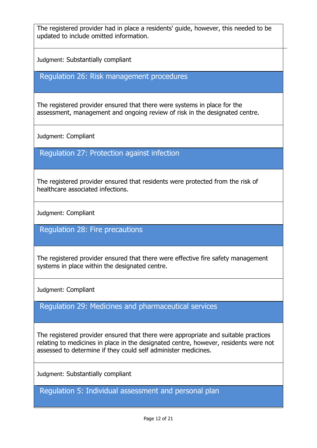The registered provider had in place a residents' guide, however, this needed to be updated to include omitted information.

Judgment: Substantially compliant

### Regulation 26: Risk management procedures

The registered provider ensured that there were systems in place for the assessment, management and ongoing review of risk in the designated centre.

Judgment: Compliant

Regulation 27: Protection against infection

The registered provider ensured that residents were protected from the risk of healthcare associated infections.

Judgment: Compliant

Regulation 28: Fire precautions

The registered provider ensured that there were effective fire safety management systems in place within the designated centre.

Judgment: Compliant

Regulation 29: Medicines and pharmaceutical services

The registered provider ensured that there were appropriate and suitable practices relating to medicines in place in the designated centre, however, residents were not assessed to determine if they could self administer medicines.

Judgment: Substantially compliant

Regulation 5: Individual assessment and personal plan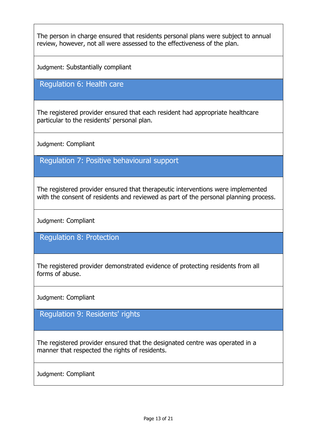The person in charge ensured that residents personal plans were subject to annual review, however, not all were assessed to the effectiveness of the plan.

Judgment: Substantially compliant

Regulation 6: Health care

The registered provider ensured that each resident had appropriate healthcare particular to the residents' personal plan.

Judgment: Compliant

Regulation 7: Positive behavioural support

The registered provider ensured that therapeutic interventions were implemented with the consent of residents and reviewed as part of the personal planning process.

Judgment: Compliant

Regulation 8: Protection

The registered provider demonstrated evidence of protecting residents from all forms of abuse.

Judgment: Compliant

Regulation 9: Residents' rights

The registered provider ensured that the designated centre was operated in a manner that respected the rights of residents.

Judgment: Compliant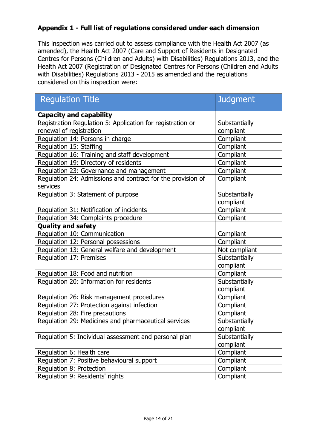#### **Appendix 1 - Full list of regulations considered under each dimension**

This inspection was carried out to assess compliance with the Health Act 2007 (as amended), the Health Act 2007 (Care and Support of Residents in Designated Centres for Persons (Children and Adults) with Disabilities) Regulations 2013, and the Health Act 2007 (Registration of Designated Centres for Persons (Children and Adults with Disabilities) Regulations 2013 - 2015 as amended and the regulations considered on this inspection were:

| <b>Regulation Title</b>                                                 | <b>Judgment</b> |  |
|-------------------------------------------------------------------------|-----------------|--|
| <b>Capacity and capability</b>                                          |                 |  |
| Registration Regulation 5: Application for registration or              | Substantially   |  |
| renewal of registration                                                 | compliant       |  |
| Regulation 14: Persons in charge                                        | Compliant       |  |
| Regulation 15: Staffing                                                 | Compliant       |  |
| Regulation 16: Training and staff development                           | Compliant       |  |
| Regulation 19: Directory of residents                                   | Compliant       |  |
| Regulation 23: Governance and management                                | Compliant       |  |
| Regulation 24: Admissions and contract for the provision of<br>services | Compliant       |  |
| Regulation 3: Statement of purpose                                      | Substantially   |  |
|                                                                         | compliant       |  |
| Regulation 31: Notification of incidents                                | Compliant       |  |
| Regulation 34: Complaints procedure                                     | Compliant       |  |
| <b>Quality and safety</b>                                               |                 |  |
| Regulation 10: Communication                                            | Compliant       |  |
| Regulation 12: Personal possessions                                     | Compliant       |  |
| Regulation 13: General welfare and development                          | Not compliant   |  |
| Regulation 17: Premises                                                 | Substantially   |  |
|                                                                         | compliant       |  |
| Regulation 18: Food and nutrition                                       | Compliant       |  |
| Regulation 20: Information for residents                                | Substantially   |  |
|                                                                         | compliant       |  |
| Regulation 26: Risk management procedures                               | Compliant       |  |
| Regulation 27: Protection against infection                             | Compliant       |  |
| Regulation 28: Fire precautions                                         | Compliant       |  |
| Regulation 29: Medicines and pharmaceutical services                    | Substantially   |  |
|                                                                         | compliant       |  |
| Regulation 5: Individual assessment and personal plan                   | Substantially   |  |
|                                                                         | compliant       |  |
| Regulation 6: Health care                                               | Compliant       |  |
| Regulation 7: Positive behavioural support                              | Compliant       |  |
| Regulation 8: Protection                                                | Compliant       |  |
| Regulation 9: Residents' rights                                         | Compliant       |  |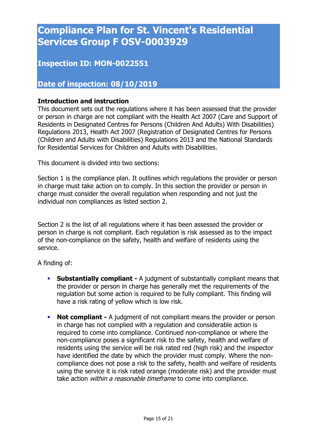# **Compliance Plan for St. Vincent's Residential Services Group F OSV-0003929**

## **Inspection ID: MON-0022551**

### **Date of inspection: 08/10/2019**

#### **Introduction and instruction**

This document sets out the regulations where it has been assessed that the provider or person in charge are not compliant with the Health Act 2007 (Care and Support of Residents in Designated Centres for Persons (Children And Adults) With Disabilities) Regulations 2013, Health Act 2007 (Registration of Designated Centres for Persons (Children and Adults with Disabilities) Regulations 2013 and the National Standards for Residential Services for Children and Adults with Disabilities.

This document is divided into two sections:

Section 1 is the compliance plan. It outlines which regulations the provider or person in charge must take action on to comply. In this section the provider or person in charge must consider the overall regulation when responding and not just the individual non compliances as listed section 2.

Section 2 is the list of all regulations where it has been assessed the provider or person in charge is not compliant. Each regulation is risk assessed as to the impact of the non-compliance on the safety, health and welfare of residents using the service.

A finding of:

- **Substantially compliant -** A judgment of substantially compliant means that the provider or person in charge has generally met the requirements of the regulation but some action is required to be fully compliant. This finding will have a risk rating of yellow which is low risk.
- **Not compliant -** A judgment of not compliant means the provider or person in charge has not complied with a regulation and considerable action is required to come into compliance. Continued non-compliance or where the non-compliance poses a significant risk to the safety, health and welfare of residents using the service will be risk rated red (high risk) and the inspector have identified the date by which the provider must comply. Where the noncompliance does not pose a risk to the safety, health and welfare of residents using the service it is risk rated orange (moderate risk) and the provider must take action *within a reasonable timeframe* to come into compliance.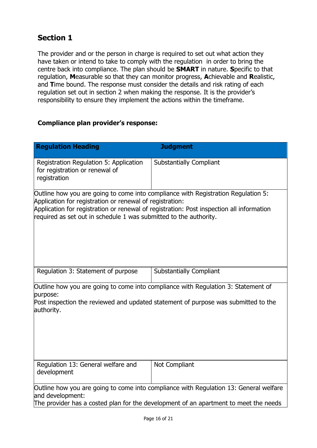# **Section 1**

The provider and or the person in charge is required to set out what action they have taken or intend to take to comply with the regulation in order to bring the centre back into compliance. The plan should be **SMART** in nature. **S**pecific to that regulation, **M**easurable so that they can monitor progress, **A**chievable and **R**ealistic, and **T**ime bound. The response must consider the details and risk rating of each regulation set out in section 2 when making the response. It is the provider's responsibility to ensure they implement the actions within the timeframe.

#### **Compliance plan provider's response:**

| <b>Regulation Heading</b>                                                                                                                                                                                                                                                                                      | <b>Judgment</b>                |  |  |  |
|----------------------------------------------------------------------------------------------------------------------------------------------------------------------------------------------------------------------------------------------------------------------------------------------------------------|--------------------------------|--|--|--|
| Registration Regulation 5: Application<br>for registration or renewal of<br>registration                                                                                                                                                                                                                       | <b>Substantially Compliant</b> |  |  |  |
| Outline how you are going to come into compliance with Registration Regulation 5:<br>Application for registration or renewal of registration:<br>Application for registration or renewal of registration: Post inspection all information<br>required as set out in schedule 1 was submitted to the authority. |                                |  |  |  |
| Regulation 3: Statement of purpose                                                                                                                                                                                                                                                                             | <b>Substantially Compliant</b> |  |  |  |
| Outline how you are going to come into compliance with Regulation 3: Statement of<br>purpose:<br>Post inspection the reviewed and updated statement of purpose was submitted to the<br>authority.                                                                                                              |                                |  |  |  |
| Regulation 13: General welfare and<br>development                                                                                                                                                                                                                                                              | Not Compliant                  |  |  |  |
| Outline how you are going to come into compliance with Regulation 13: General welfare<br>and development:<br>The provider has a costed plan for the development of an apartment to meet the needs                                                                                                              |                                |  |  |  |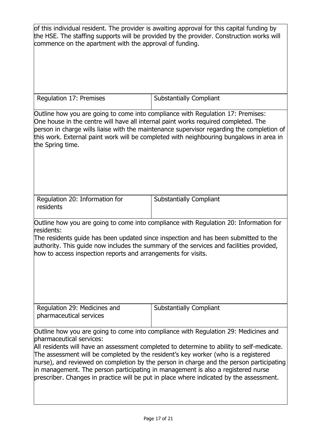| of this individual resident. The provider is awaiting approval for this capital funding by<br>the HSE. The staffing supports will be provided by the provider. Construction works will<br>commence on the apartment with the approval of funding.                                                                                                      |                                                                                                                                                                                      |  |  |  |
|--------------------------------------------------------------------------------------------------------------------------------------------------------------------------------------------------------------------------------------------------------------------------------------------------------------------------------------------------------|--------------------------------------------------------------------------------------------------------------------------------------------------------------------------------------|--|--|--|
| Regulation 17: Premises                                                                                                                                                                                                                                                                                                                                | <b>Substantially Compliant</b>                                                                                                                                                       |  |  |  |
| Outline how you are going to come into compliance with Regulation 17: Premises:<br>One house in the centre will have all internal paint works required completed. The<br>the Spring time.                                                                                                                                                              | person in charge wills liaise with the maintenance supervisor regarding the completion of<br>this work. External paint work will be completed with neighbouring bungalows in area in |  |  |  |
| Regulation 20: Information for<br>residents                                                                                                                                                                                                                                                                                                            | <b>Substantially Compliant</b>                                                                                                                                                       |  |  |  |
| Outline how you are going to come into compliance with Regulation 20: Information for<br>residents:<br>The residents guide has been updated since inspection and has been submitted to the<br>authority. This guide now includes the summary of the services and facilities provided,<br>how to access inspection reports and arrangements for visits. |                                                                                                                                                                                      |  |  |  |

Regulation 29: Medicines and pharmaceutical services Substantially Compliant

Outline how you are going to come into compliance with Regulation 29: Medicines and pharmaceutical services:

All residents will have an assessment completed to determine to ability to self-medicate. The assessment will be completed by the resident's key worker (who is a registered nurse), and reviewed on completion by the person in charge and the person participating in management. The person participating in management is also a registered nurse prescriber. Changes in practice will be put in place where indicated by the assessment.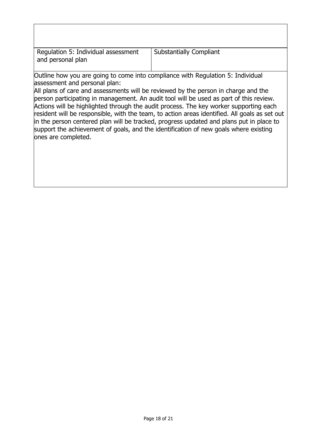| Regulation 5: Individual assessment<br>and personal plan                                                                                | <b>Substantially Compliant</b>                                                                                                                                                                                                                                                                                                                                                                                                                                                                                                                            |
|-----------------------------------------------------------------------------------------------------------------------------------------|-----------------------------------------------------------------------------------------------------------------------------------------------------------------------------------------------------------------------------------------------------------------------------------------------------------------------------------------------------------------------------------------------------------------------------------------------------------------------------------------------------------------------------------------------------------|
| Outline how you are going to come into compliance with Regulation 5: Individual<br>assessment and personal plan:<br>ones are completed. | All plans of care and assessments will be reviewed by the person in charge and the<br>person participating in management. An audit tool will be used as part of this review.<br>Actions will be highlighted through the audit process. The key worker supporting each<br>resident will be responsible, with the team, to action areas identified. All goals as set out<br>in the person centered plan will be tracked, progress updated and plans put in place to<br>support the achievement of goals, and the identification of new goals where existing |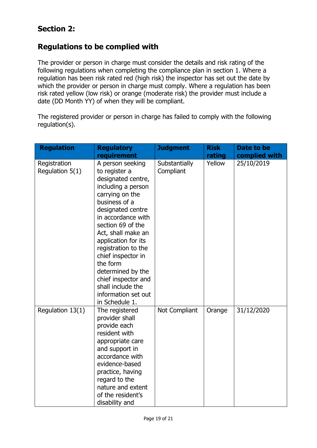## **Section 2:**

#### **Regulations to be complied with**

The provider or person in charge must consider the details and risk rating of the following regulations when completing the compliance plan in section 1. Where a regulation has been risk rated red (high risk) the inspector has set out the date by which the provider or person in charge must comply. Where a regulation has been risk rated yellow (low risk) or orange (moderate risk) the provider must include a date (DD Month YY) of when they will be compliant.

The registered provider or person in charge has failed to comply with the following regulation(s).

| <b>Regulation</b>               | <b>Regulatory</b>                                                                                                                                                                                                                                                                                                                                                                                 | <b>Judgment</b>            | <b>Risk</b> | Date to be    |
|---------------------------------|---------------------------------------------------------------------------------------------------------------------------------------------------------------------------------------------------------------------------------------------------------------------------------------------------------------------------------------------------------------------------------------------------|----------------------------|-------------|---------------|
|                                 | requirement                                                                                                                                                                                                                                                                                                                                                                                       |                            | rating      | complied with |
| Registration<br>Regulation 5(1) | A person seeking<br>to register a<br>designated centre,<br>including a person<br>carrying on the<br>business of a<br>designated centre<br>in accordance with<br>section 69 of the<br>Act, shall make an<br>application for its<br>registration to the<br>chief inspector in<br>the form<br>determined by the<br>chief inspector and<br>shall include the<br>information set out<br>in Schedule 1. | Substantially<br>Compliant | Yellow      | 25/10/2019    |
| Regulation 13(1)                | The registered<br>provider shall<br>provide each<br>resident with<br>appropriate care<br>and support in<br>accordance with<br>evidence-based<br>practice, having<br>regard to the<br>nature and extent<br>of the resident's<br>disability and                                                                                                                                                     | Not Compliant              | Orange      | 31/12/2020    |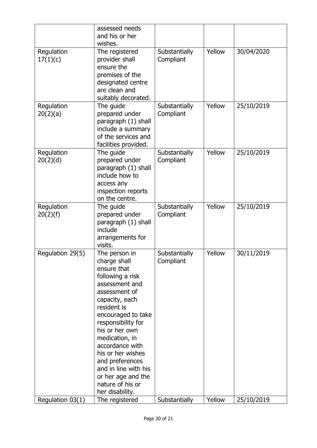|                        | assessed needs<br>and his or her<br>wishes.                                                                                                                                                                                                                                                                                                                          |                            |        |            |
|------------------------|----------------------------------------------------------------------------------------------------------------------------------------------------------------------------------------------------------------------------------------------------------------------------------------------------------------------------------------------------------------------|----------------------------|--------|------------|
| Regulation<br>17(1)(c) | The registered<br>provider shall<br>ensure the<br>premises of the<br>designated centre<br>are clean and<br>suitably decorated.                                                                                                                                                                                                                                       | Substantially<br>Compliant | Yellow | 30/04/2020 |
| Regulation<br>20(2)(a) | The guide<br>prepared under<br>paragraph (1) shall<br>include a summary<br>of the services and<br>facilities provided.                                                                                                                                                                                                                                               | Substantially<br>Compliant | Yellow | 25/10/2019 |
| Regulation<br>20(2)(d) | The guide<br>prepared under<br>paragraph (1) shall<br>include how to<br>access any<br>inspection reports<br>on the centre.                                                                                                                                                                                                                                           | Substantially<br>Compliant | Yellow | 25/10/2019 |
| Regulation<br>20(2)(f) | The guide<br>prepared under<br>paragraph (1) shall<br>include<br>arrangements for<br>visits.                                                                                                                                                                                                                                                                         | Substantially<br>Compliant | Yellow | 25/10/2019 |
| Regulation 29(5)       | The person in<br>charge shall<br>ensure that<br>following a risk<br>assessment and<br>assessment of<br>capacity, each<br>resident is<br>encouraged to take<br>responsibility for<br>his or her own<br>medication, in<br>accordance with<br>his or her wishes<br>and preferences<br>and in line with his<br>or her age and the<br>nature of his or<br>her disability. | Substantially<br>Compliant | Yellow | 30/11/2019 |
| Regulation 03(1)       | The registered                                                                                                                                                                                                                                                                                                                                                       | Substantially              | Yellow | 25/10/2019 |